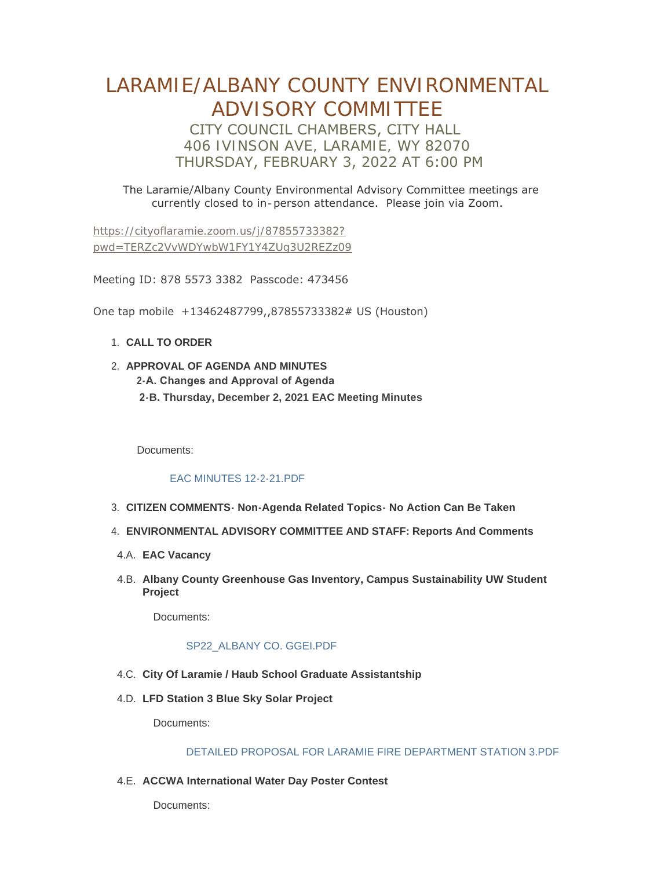# LARAMIE/ALBANY COUNTY ENVIRONMENTAL ADVISORY COMMITTEE CITY COUNCIL CHAMBERS, CITY HALL 406 IVINSON AVE, LARAMIE, WY 82070 THURSDAY, FEBRUARY 3, 2022 AT 6:00 PM

 The Laramie/Albany County Environmental Advisory Committee meetings are currently closed to in-person attendance. Please join via Zoom.

https://cityoflaramie.zoom.us/j/87855733382? [pwd=TERZc2VvWDYwbW1FY1Y4ZUg3U2REZz09](https://cityoflaramie.zoom.us/j/87855733382?pwd=TERZc2VvWDYwbW1FY1Y4ZUg3U2REZz09)

Meeting ID: 878 5573 3382 Passcode: 473456

One tap mobile +13462487799,,87855733382# US (Houston)

- **CALL TO ORDER**  1.
- **APPROVAL OF AGENDA AND MINUTES** 2. **2-A. Changes and Approval of Agenda 2-B. Thursday, December 2, 2021 EAC Meeting Minutes**

Documents:

### [EAC MINUTES 12-2-21.PDF](https://cityoflaramie.org/AgendaCenter/ViewFile/Item/11762?fileID=15875)

- **CITIZEN COMMENTS- Non-Agenda Related Topics- No Action Can Be Taken**  3.
- **ENVIRONMENTAL ADVISORY COMMITTEE AND STAFF: Reports And Comments** 4.
- **EAC Vacancy** 4.A.
- **Albany County Greenhouse Gas Inventory, Campus Sustainability UW Student**  4.B. **Project**

Documents:

### [SP22\\_ALBANY CO. GGEI.PDF](https://cityoflaramie.org/AgendaCenter/ViewFile/Item/11770?fileID=15877)

- **City Of Laramie / Haub School Graduate Assistantship** 4.C.
- **LFD Station 3 Blue Sky Solar Project** 4.D.

Documents:

### [DETAILED PROPOSAL FOR LARAMIE FIRE DEPARTMENT STATION 3.PDF](https://cityoflaramie.org/AgendaCenter/ViewFile/Item/11795?fileID=15893)

**A.E. ACCWA International Water Day Poster Contest** 

Documents: